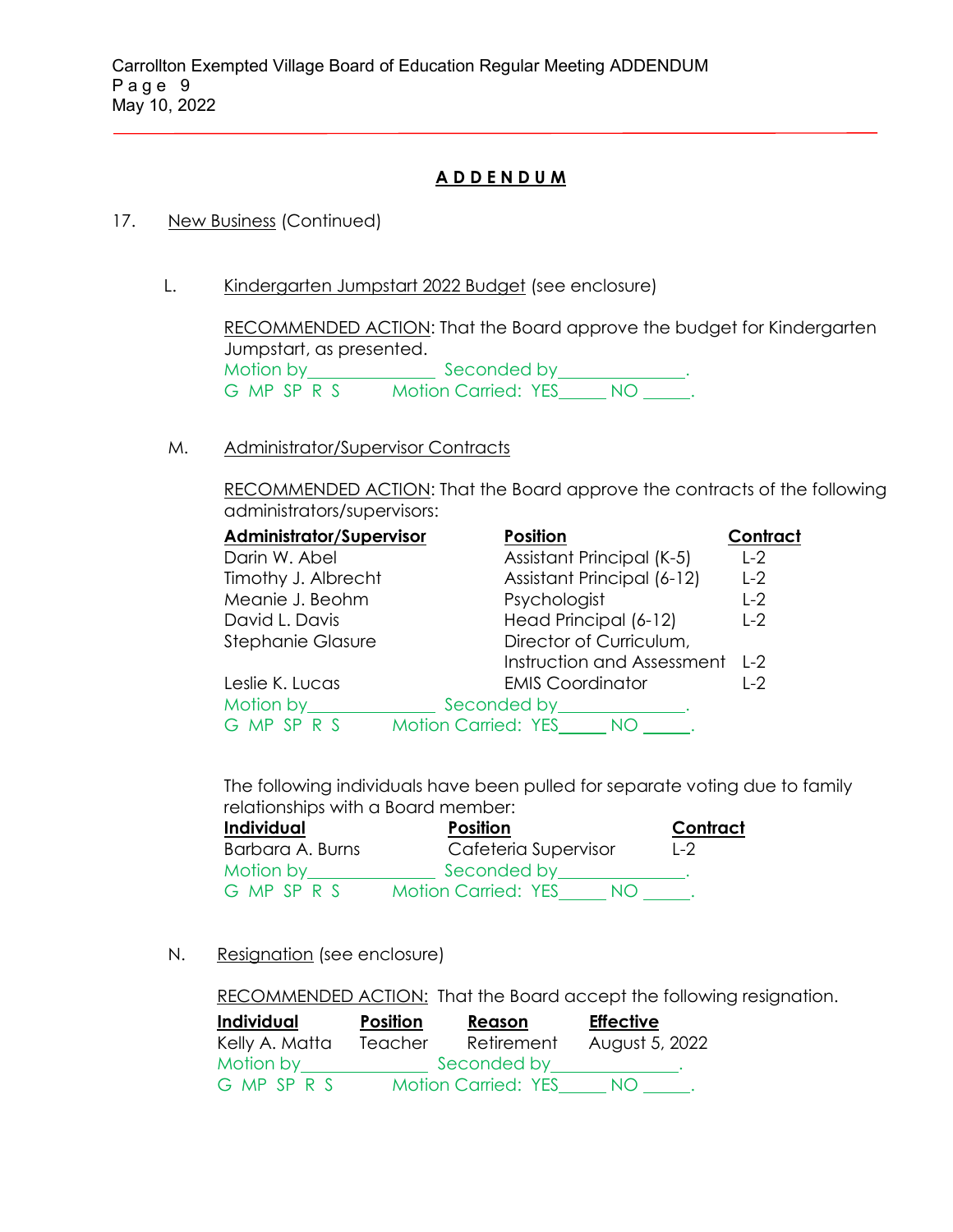## **A D D E N D U M**

## 17. New Business (Continued)

L. Kindergarten Jumpstart 2022 Budget (see enclosure)

RECOMMENDED ACTION: That the Board approve the budget for Kindergarten Jumpstart, as presented. Motion by Seconded by Seconded by Anti-G MP SP R S Motion Carried: YES NO ...

M. Administrator/Supervisor Contracts

RECOMMENDED ACTION: That the Board approve the contracts of the following administrators/supervisors:

| <b>Administrator/Supervisor</b> | <b>Position</b>                   | Contract |
|---------------------------------|-----------------------------------|----------|
| Darin W. Abel                   | Assistant Principal (K-5)         | $L-2$    |
| Timothy J. Albrecht             | Assistant Principal (6-12)        | $L-2$    |
| Meanie J. Beohm                 | Psychologist                      | $L-2$    |
| David L. Davis                  | Head Principal (6-12)             | $L-2$    |
| <b>Stephanie Glasure</b>        | Director of Curriculum,           |          |
|                                 | Instruction and Assessment L-2    |          |
| Leslie K. Lucas                 | <b>EMIS Coordinator</b>           | $1-2$    |
| Motion by                       | Seconded by Seconded by           |          |
| G MP SP R S                     | <b>Motion Carried: YES</b><br>NO. |          |

The following individuals have been pulled for separate voting due to family relationships with a Board member:

| Individual       | <b>Position</b>                  | Contract |
|------------------|----------------------------------|----------|
| Barbara A. Burns | Cafeteria Supervisor             | $1 - 2$  |
| Motion by        | Seconded by                      |          |
| G MP SP R S      | <b>Motion Carried: YES</b><br>NO |          |

N. Resignation (see enclosure)

RECOMMENDED ACTION: That the Board accept the following resignation.

| Individual     | Position | Reason                     | <b>Effective</b> |  |
|----------------|----------|----------------------------|------------------|--|
| Kelly A. Matta | Teacher  | Retirement                 | August 5, 2022   |  |
| Motion by      |          | Seconded by                |                  |  |
| G MP SP R S    |          | <b>Motion Carried: YES</b> | NO.              |  |